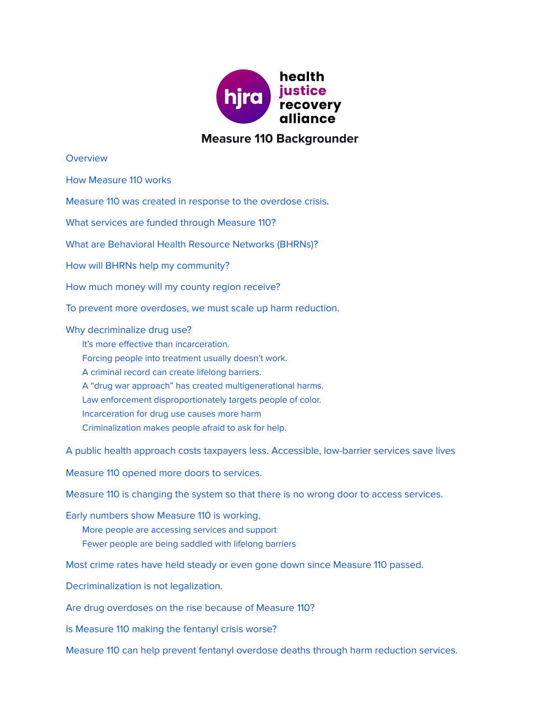

## **Measure 110 Backgrounder**

**[Overview](#page-1-0)** 

How [Measure](#page-1-1) 110 works

Measure 110 was created in response to the [overdose](#page-2-0) crisis.

What services are funded through [Measure](#page-2-1) 110?

What are [Behavioral](#page-2-2) Health Resource Networks (BHRNs)?

How will BHRNs help my [community?](#page-3-0)

How much money will my county region [receive?](#page-3-1)

To prevent more [overdoses,](#page-3-2) we must scale up harm reduction.

Why [decriminalize](#page-4-0) drug use?

It's more effective than [incarceration.](#page-4-1) Forcing people into [treatment](#page-4-2) usually doesn't work. A criminal record can create lifelong [barriers.](#page-4-3) A "drug war approach" has created [multigenerational](#page-4-4) harms. Law enforcement [disproportionately](#page-5-0) targets people of color. [Incarceration](#page-5-1) for drug use causes more harm [Criminalization](#page-5-2) makes people afraid to ask for help.

A public health approach costs [taxpayers](#page-5-3) less. [Accessible,](#page-6-0) low-barrier services save lives

Measure 110 opened more doors to [services.](#page-6-1)

Measure 110 is [changing](#page-6-2) the system so that there is no wrong door to access services.

Early [numbers](#page-6-3) show Measure 110 is working. More people are [accessing](#page-6-4) services and support Fewer people are being [saddled](#page-7-0) with lifelong barriers

Most crime rates have held steady or even gone down since [Measure](#page-7-1) 110 passed.

[Decriminalization](#page-8-0) is not legalization.

Are drug [overdoses](#page-8-1) on the rise because of Measure 110?

Is [Measure](#page-9-0) 110 making the fentanyl crisis worse?

Measure 110 can help prevent fentanyl overdose deaths through harm [reduction](#page-9-1) services.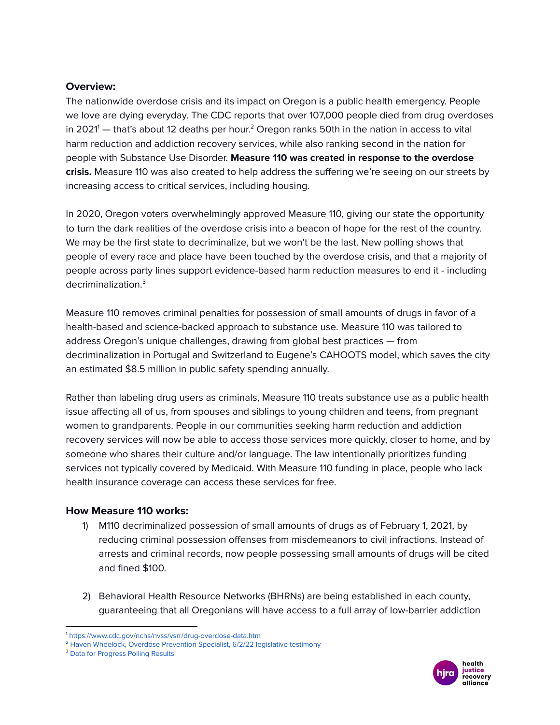### <span id="page-1-0"></span>**Overview:**

The nationwide overdose crisis and its impact on Oregon is a public health emergency. People we love are dying everyday. The CDC reports that over 107,000 people died from drug overdoses in 2021 $^{\prime}$  — that's about 12 deaths per hour. $^{\rm 2}$  Oregon ranks 50th in the nation in access to vital harm reduction and addiction recovery services, while also ranking second in the nation for people with Substance Use Disorder. **Measure 110 was created in response to the overdose crisis.** Measure 110 was also created to help address the suffering we're seeing on our streets by increasing access to critical services, including housing.

In 2020, Oregon voters overwhelmingly approved Measure 110, giving our state the opportunity to turn the dark realities of the overdose crisis into a beacon of hope for the rest of the country. We may be the first state to decriminalize, but we won't be the last. New polling shows that people of every race and place have been touched by the overdose crisis, and that a majority of people across party lines support evidence-based harm reduction measures to end it - including decriminalization. 3

Measure 110 removes criminal penalties for possession of small amounts of drugs in favor of a health-based and science-backed approach to substance use. Measure 110 was tailored to address Oregon's unique challenges, drawing from global best practices — from decriminalization in Portugal and Switzerland to Eugene's CAHOOTS model, which saves the city an estimated \$8.5 million in public safety spending annually.

Rather than labeling drug users as criminals, Measure 110 treats substance use as a public health issue affecting all of us, from spouses and siblings to young children and teens, from pregnant women to grandparents. People in our communities seeking harm reduction and addiction recovery services will now be able to access those services more quickly, closer to home, and by someone who shares their culture and/or language. The law intentionally prioritizes funding services not typically covered by Medicaid. With Measure 110 funding in place, people who lack health insurance coverage can access these services for free.

## <span id="page-1-1"></span>**How Measure 110 works:**

- 1) M110 decriminalized possession of small amounts of drugs as of February 1, 2021, by reducing criminal possession offenses from misdemeanors to civil infractions. Instead of arrests and criminal records, now people possessing small amounts of drugs will be cited and fined \$100.
- 2) Behavioral Health Resource Networks (BHRNs) are being established in each county, guaranteeing that all Oregonians will have access to a full array of low-barrier addiction



<sup>1</sup> <https://www.cdc.gov/nchs/nvss/vsrr/drug-overdose-data.htm>

<sup>&</sup>lt;sup>2</sup> Haven Wheelock, Overdose [Prevention](https://olis.oregonlegislature.gov/liz/mediaplayer/?clientID=4879615486&eventID=2022061008) Specialist, 6/2/22 legislative testimony

<sup>&</sup>lt;sup>3</sup> Data for [Progress](https://www.dataforprogress.org/blog/2022/4/20/bipartisan-majority-of-voters-support-harm-reduction-measures-and-decriminalizing) Polling Results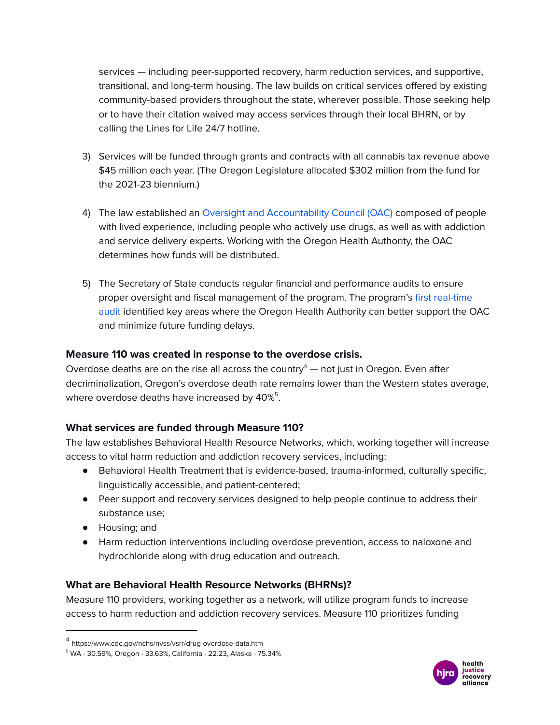services — including peer-supported recovery, harm reduction services, and supportive, transitional, and long-term housing. The law builds on critical services offered by existing community-based providers throughout the state, wherever possible. Those seeking help or to have their citation waived may access services through their local BHRN, or by calling the Lines for Life 24/7 hotline.

- 3) Services will be funded through grants and contracts with all cannabis tax revenue above \$45 million each year. (The Oregon Legislature allocated \$302 million from the fund for the 2021-23 biennium.)
- 4) The law established an Oversight and [Accountability](https://www.oregon.gov/oha/hsd/amh/pages/oac.aspx) Council (OAC) composed of people with lived experience, including people who actively use drugs, as well as with addiction and service delivery experts. Working with the Oregon Health Authority, the OAC determines how funds will be distributed.
- 5) The Secretary of State conducts regular financial and performance audits to ensure proper oversight and fiscal management of the program. The program's first [real-time](https://docs.google.com/document/d/1iFt2zLy3HSjokYAF4QgYBqylTv9hW83U/edit?usp=sharing&ouid=109698923576475200687&rtpof=true&sd=true) [audit](https://docs.google.com/document/d/1iFt2zLy3HSjokYAF4QgYBqylTv9hW83U/edit?usp=sharing&ouid=109698923576475200687&rtpof=true&sd=true) identified key areas where the Oregon Health Authority can better support the OAC and minimize future funding delays.

## <span id="page-2-0"></span>**Measure 110 was created in response to the overdose crisis.**

Overdose deaths are on the rise all across the country $4$  — not just in Oregon. Even after decriminalization, Oregon's overdose death rate remains lower than the Western states average, where overdose deaths have increased by  $40\%^5.$ 

## <span id="page-2-1"></span>**What services are funded through Measure 110?**

The law establishes Behavioral Health Resource Networks, which, working together will increase access to vital harm reduction and addiction recovery services, including:

- Behavioral Health Treatment that is evidence-based, trauma-informed, culturally specific, linguistically accessible, and patient-centered;
- Peer support and recovery services designed to help people continue to address their substance use;
- Housing; and
- Harm reduction interventions including overdose prevention, access to naloxone and hydrochloride along with drug education and outreach.

# <span id="page-2-2"></span>**What are Behavioral Health Resource Networks (BHRNs)?**

Measure 110 providers, working together as a network, will utilize program funds to increase access to harm reduction and addiction recovery services. Measure 110 prioritizes funding



<sup>4</sup> https://www.cdc.gov/nchs/nvss/vsrr/drug-overdose-data.htm

<sup>5</sup> WA - 30.59%, Oregon - 33.63%, California - 22.23, Alaska - 75.34%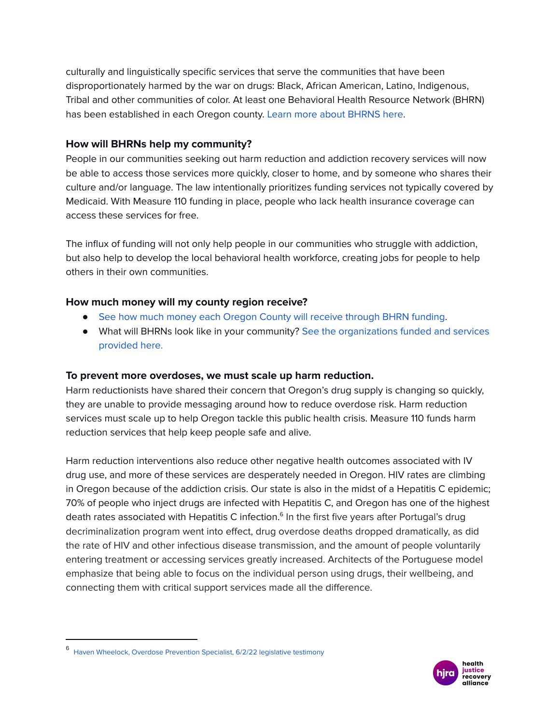culturally and linguistically specific services that serve the communities that have been disproportionately harmed by the war on drugs: Black, African American, Latino, Indigenous, Tribal and other communities of color. At least one Behavioral Health Resource Network (BHRN) has been established in each Oregon county. Learn more about [BHRNS](https://app.smartsheet.com/b/publish?EQBCT=daa407edd645460ba9d0a727eda67690) here.

## <span id="page-3-0"></span>**How will BHRNs help my community?**

People in our communities seeking out harm reduction and addiction recovery services will now be able to access those services more quickly, closer to home, and by someone who shares their culture and/or language. The law intentionally prioritizes funding services not typically covered by Medicaid. With Measure 110 funding in place, people who lack health insurance coverage can access these services for free.

The influx of funding will not only help people in our communities who struggle with addiction, but also help to develop the local behavioral health workforce, creating jobs for people to help others in their own communities.

## <span id="page-3-1"></span>**How much money will my county region receive?**

- See how much money each Oregon County will receive [through](https://www.oregon.gov/oha/HSD/AMH/docs/M110-Formula-Share.pdf) BHRN funding.
- What will BHRNs look like in your community? See the [organizations](https://app.smartsheet.com/b/publish?EQBCT=daa407edd645460ba9d0a727eda67690) funded and services [provided](https://app.smartsheet.com/b/publish?EQBCT=daa407edd645460ba9d0a727eda67690) here.

## <span id="page-3-2"></span>**To prevent more overdoses, we must scale up harm reduction.**

Harm reductionists have shared their concern that Oregon's drug supply is changing so quickly, they are unable to provide messaging around how to reduce overdose risk. Harm reduction services must scale up to help Oregon tackle this public health crisis. Measure 110 funds harm reduction services that help keep people safe and alive.

Harm reduction interventions also reduce other negative health outcomes associated with IV drug use, and more of these services are desperately needed in Oregon. HIV rates are climbing in Oregon because of the addiction crisis. Our state is also in the midst of a Hepatitis C epidemic; 70% of people who inject drugs are infected with Hepatitis C, and Oregon has one of the highest death rates associated with Hepatitis C infection.<sup>6</sup> In the first five years after Portugal's drug decriminalization program went into effect, drug overdose deaths dropped dramatically, as did the rate of HIV and other infectious disease transmission, and the amount of people voluntarily entering treatment or accessing services greatly increased. Architects of the Portuguese model emphasize that being able to focus on the individual person using drugs, their wellbeing, and connecting them with critical support services made all the difference.



<sup>6</sup> Haven Wheelock, Overdose [Prevention](https://olis.oregonlegislature.gov/liz/mediaplayer/?clientID=4879615486&eventID=2022061008) Specialist, 6/2/22 legislative testimony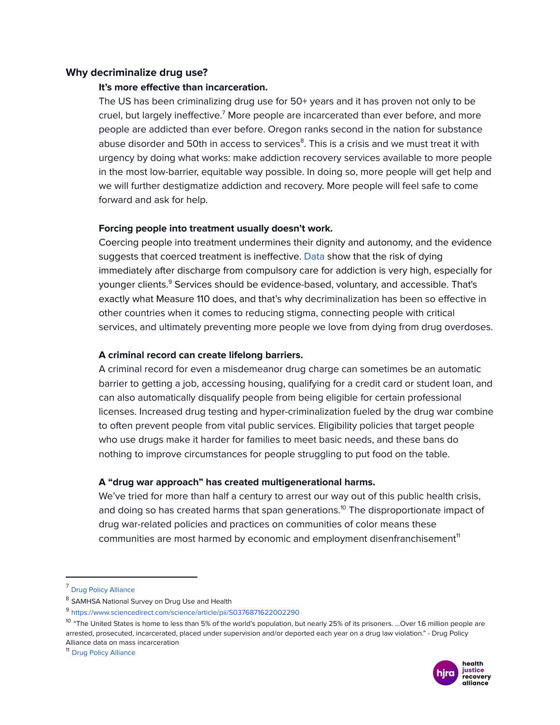### <span id="page-4-1"></span><span id="page-4-0"></span>**Why decriminalize drug use?**

#### **It's more effective than incarceration.**

The US has been criminalizing drug use for 50+ years and it has proven not only to be cruel, but largely ineffective.<sup>7</sup> More people are incarcerated than ever before, and more people are addicted than ever before. Oregon ranks second in the nation for substance abuse disorder and 50th in access to services<sup>8</sup>. This is a crisis and we must treat it with urgency by doing what works: make addiction recovery services available to more people in the most low-barrier, equitable way possible. In doing so, more people will get help and we will further destigmatize addiction and recovery. More people will feel safe to come forward and ask for help.

### <span id="page-4-2"></span>**Forcing people into treatment usually doesn't work.**

Coercing people into treatment undermines their dignity and autonomy, and the evidence suggests that coerced treatment is ineffective. [Data](https://www.sciencedirect.com/science/article/pii/S0376871622002290) show that the risk of dying immediately after discharge from compulsory care for addiction is very high, especially for younger clients.<sup>9</sup> Services should be evidence-based, voluntary, and accessible. That's exactly what Measure 110 does, and that's why decriminalization has been so effective in other countries when it comes to reducing stigma, connecting people with critical services, and ultimately preventing more people we love from dying from drug overdoses.

### <span id="page-4-3"></span>**A criminal record can create lifelong barriers.**

A criminal record for even a misdemeanor drug charge can sometimes be an automatic barrier to getting a job, accessing housing, qualifying for a credit card or student loan, and can also automatically disqualify people from being eligible for certain professional licenses. Increased drug testing and hyper-criminalization fueled by the drug war combine to often prevent people from vital public services. Eligibility policies that target people who use drugs make it harder for families to meet basic needs, and these bans do nothing to improve circumstances for people struggling to put food on the table.

### <span id="page-4-4"></span>**A "drug war approach" has created multigenerational harms.**

We've tried for more than half a century to arrest our way out of this public health crisis, and doing so has created harms that span generations. <sup>10</sup> The disproportionate impact of drug war-related policies and practices on communities of color means these communities are most harmed by economic and employment disenfranchisement<sup>11</sup>



<sup>7</sup> Drug Policy [Alliance](https://drugpolicy.org/issues/mass-criminalization)

<sup>&</sup>lt;sup>8</sup> SAMHSA National Survey on Drug Use and Health

<sup>9</sup> <https://www.sciencedirect.com/science/article/pii/S0376871622002290>

<sup>&</sup>lt;sup>10</sup> "The United States is home to less than 5% of the world's population, but nearly 25% of its prisoners. …Over 1.6 million people are arrested, prosecuted, incarcerated, placed under supervision and/or deported each year on a drug law violation." - Drug Policy Alliance data on mass incarceration

<sup>11</sup> Drug Policy [Alliance](https://uprootingthedrugwar.org/employment/)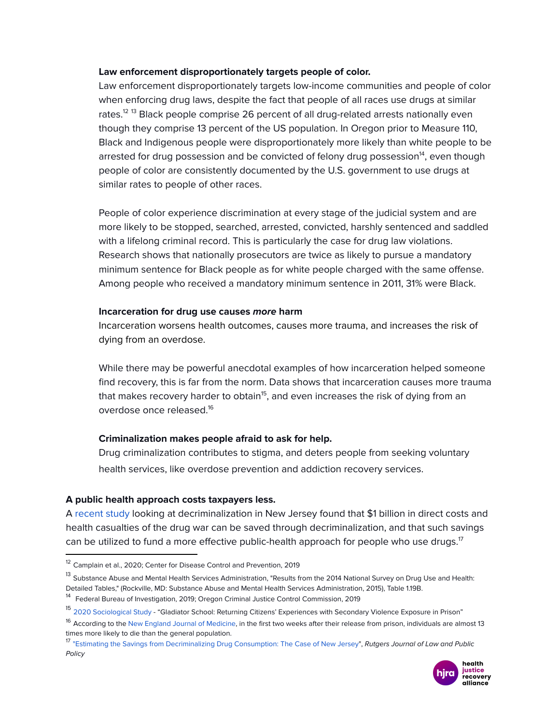#### <span id="page-5-0"></span>**Law enforcement disproportionately targets people of color.**

Law enforcement disproportionately targets low-income communities and people of color when enforcing drug laws, despite the fact that people of all races use drugs at similar rates.<sup>12 13</sup> Black people comprise 26 percent of all drug-related arrests nationally even though they comprise 13 percent of the US population. In Oregon prior to Measure 110, Black and Indigenous people were disproportionately more likely than white people to be arrested for drug possession and be convicted of felony drug possession<sup>14</sup>, even though people of color are consistently documented by the U.S. government to use drugs at similar rates to people of other races.

People of color experience discrimination at every stage of the judicial system and are more likely to be stopped, searched, arrested, convicted, harshly sentenced and saddled with a lifelong criminal record. This is particularly the case for drug law violations. Research shows that nationally prosecutors are twice as likely to pursue a mandatory minimum sentence for Black people as for white people charged with the same offense. Among people who received a mandatory minimum sentence in 2011, 31% were Black.

#### <span id="page-5-1"></span>**Incarceration for drug use causes more harm**

Incarceration worsens health outcomes, causes more trauma, and increases the risk of dying from an overdose.

While there may be powerful anecdotal examples of how incarceration helped someone find recovery, this is far from the norm. Data shows that incarceration causes more trauma that makes recovery harder to obtain<sup>15</sup>, and even increases the risk of dying from an overdose once released. 16

#### <span id="page-5-2"></span>**Criminalization makes people afraid to ask for help.**

Drug criminalization contributes to stigma, and deters people from seeking voluntary health services, like overdose prevention and addiction recovery services.

#### <span id="page-5-3"></span>**A public health approach costs taxpayers less.**

A [recent](https://rutgerspolicyjournal.org/sites/jlpp/files/Naples_Final_Spring2022_5.pdf) study looking at decriminalization in New Jersey found that \$1 billion in direct costs and health casualties of the drug war can be saved through decriminalization, and that such savings can be utilized to fund a more effective public-health approach for people who use drugs. $^{\textrm{\textsf{17}}}$ 

<sup>&</sup>lt;sup>17</sup> "Estimating the Savings from [Decriminalizing](https://rutgerspolicyjournal.org/sites/jlpp/files/Naples_Final_Spring2022_5.pdf) Drug Consumption: The Case of New Jersey", Rutgers Journal of Law and Public Policy



<sup>&</sup>lt;sup>12</sup> Camplain et al., 2020; Center for Disease Control and Prevention, 2019

<sup>&</sup>lt;sup>13</sup> Substance Abuse and Mental Health Services Administration, "Results from the 2014 National Survey on Drug Use and Health: Detailed Tables," (Rockville, MD: Substance Abuse and Mental Health Services Administration, 2015), Table 1.19B.

<sup>&</sup>lt;sup>14</sup> Federal Bureau of Investigation, 2019; Oregon Criminal Justice Control Commission, 2019

<sup>&</sup>lt;sup>15</sup> 2020 [Sociological](https://www.tandfonline.com/doi/abs/10.1080/15564886.2020.1721387?journalCode=uvao20) Study - "Gladiator School: Returning Citizens' Experiences with Secondary Violence Exposure in Prison"

<sup>&</sup>lt;sup>16</sup> Accordina to the New England Journal of [Medicine,](https://www.nejm.org/doi/10.1056/NEJMsa064115?url_ver=Z39.88-2003&rfr_id=ori:rid:crossref.org&rfr_dat=cr_pub%3dwww.ncbi.nlm.nih.gov) in the first two weeks after their release from prison, individuals are almost 13 times more likely to die than the general population.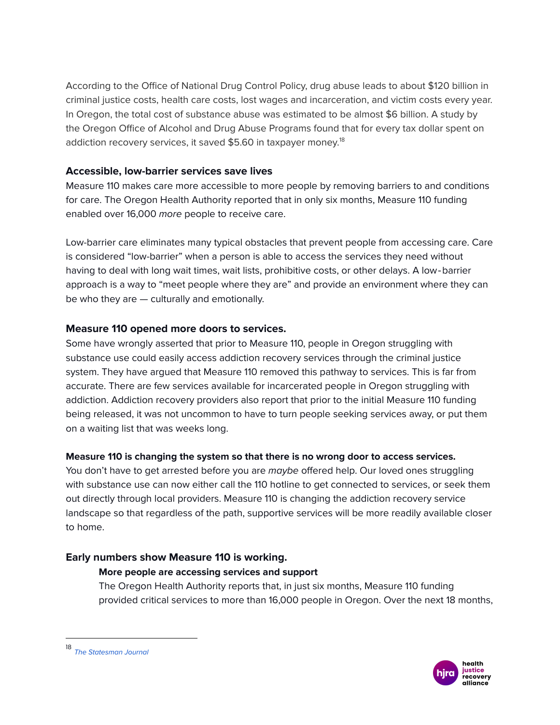According to the Office of National Drug Control Policy, drug abuse leads to about \$120 billion in criminal justice costs, health care costs, lost wages and incarceration, and victim costs every year. In Oregon, the total cost of substance abuse was estimated to be almost \$6 billion. A study by the Oregon Office of Alcohol and Drug Abuse Programs found that for every tax dollar spent on addiction recovery services, it saved \$5.60 in taxpayer money. 18

## <span id="page-6-0"></span>**Accessible, low-barrier services save lives**

Measure 110 makes care more accessible to more people by removing barriers to and conditions for care. The Oregon Health Authority reported that in only six months, Measure 110 funding enabled over 16,000 more people to receive care.

Low-barrier care eliminates many typical obstacles that prevent people from accessing care. Care is considered "low-barrier" when a person is able to access the services they need without having to deal with long wait times, wait lists, prohibitive costs, or other delays. A low‐barrier approach is a way to "meet people where they are" and provide an environment where they can be who they are — culturally and emotionally.

## <span id="page-6-1"></span>**Measure 110 opened more doors to services.**

Some have wrongly asserted that prior to Measure 110, people in Oregon struggling with substance use could easily access addiction recovery services through the criminal justice system. They have argued that Measure 110 removed this pathway to services. This is far from accurate. There are few services available for incarcerated people in Oregon struggling with addiction. Addiction recovery providers also report that prior to the initial Measure 110 funding being released, it was not uncommon to have to turn people seeking services away, or put them on a waiting list that was weeks long.

## <span id="page-6-2"></span>**Measure 110 is changing the system so that there is no wrong door to access services.**

You don't have to get arrested before you are *maybe* offered help. Our loved ones struggling with substance use can now either call the 110 hotline to get connected to services, or seek them out directly through local providers. Measure 110 is changing the addiction recovery service landscape so that regardless of the path, supportive services will be more readily available closer to home.

## <span id="page-6-4"></span><span id="page-6-3"></span>**Early numbers show Measure 110 is working.**

## **More people are accessing services and support**

The Oregon Health Authority reports that, in just six months, Measure 110 funding provided critical services to more than 16,000 people in Oregon. Over the next 18 months,



<sup>18</sup> The [Statesman](https://www.statesmanjournal.com/story/news/crime/2016/09/30/oregon-police-prosecutors-seek-fewer-felonies-drug-possession/91220580/) Journal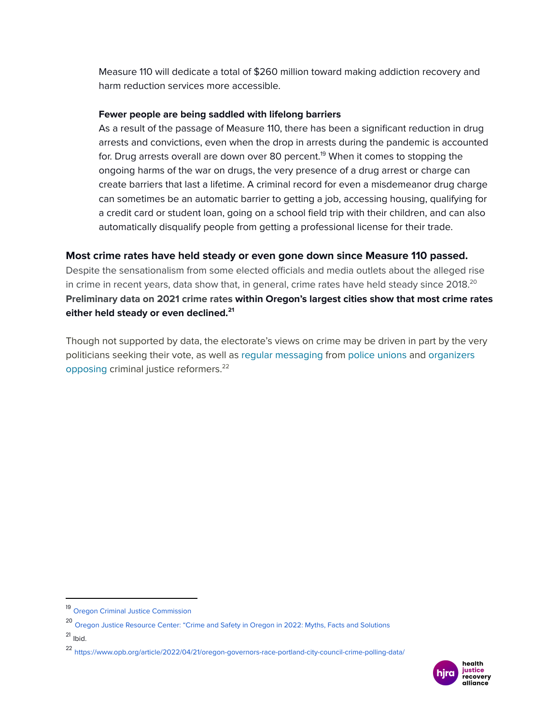Measure 110 will dedicate a total of \$260 million toward making addiction recovery and harm reduction services more accessible.

### <span id="page-7-0"></span>**Fewer people are being saddled with lifelong barriers**

As a result of the passage of Measure 110, there has been a significant reduction in drug arrests and convictions, even when the drop in arrests during the pandemic is accounted for. Drug arrests overall are down over 80 percent. <sup>19</sup> When it comes to stopping the ongoing harms of the war on drugs, the very presence of a drug arrest or charge can create barriers that last a lifetime. A criminal record for even a misdemeanor drug charge can sometimes be an automatic barrier to getting a job, accessing housing, qualifying for a credit card or student loan, going on a school field trip with their children, and can also automatically disqualify people from getting a professional license for their trade.

## <span id="page-7-1"></span>**Most crime rates have held steady or even gone down since Measure 110 passed.**

Despite the sensationalism from some elected officials and media outlets about the alleged rise in crime in recent years, data show that, in general, crime rates have held steady since 2018. $^{\mathsf{20}}$ **Preliminary data on 2021 crime rates within Oregon's largest cities show that most crime rates either held steady or even declined. 21**

Though not supported by data, the electorate's views on crime may be driven in part by the very politicians seeking their vote, as well as regular [messaging](http://protectportland.org/) from police [unions](https://www.opb.org/article/2021/06/15/portland-police-officer-charged-for-assaulting-activist-photographer-at-protest/) and [organizers](https://twitter.com/people4portland/status/1486500451864485890?s=21&t=nHlo--AA4rzGfVwJmeYMkw) [opposing](https://twitter.com/people4portland/status/1486500451864485890?s=21&t=nHlo--AA4rzGfVwJmeYMkw) criminal justice reformers. 22

<sup>21</sup> Ibid.

<sup>22</sup> <https://www.opb.org/article/2022/04/21/oregon-governors-race-portland-city-council-crime-polling-data/>



<sup>19</sup> Oregon Criminal Justice [Commission](https://drive.google.com/file/d/16oFcmY85a4pp-7oFnuFl1Xbj4kp4Tsqp/view?usp=sharing)

<sup>20</sup> Oregon Justice [Resource](https://drive.google.com/file/d/14dTWpVFuWRp1nFHAvrqTiXTSlLamoC4R/view?usp=sharing) Center: "Crime and Safety in Oregon in 2022: Myths, Facts and Solutions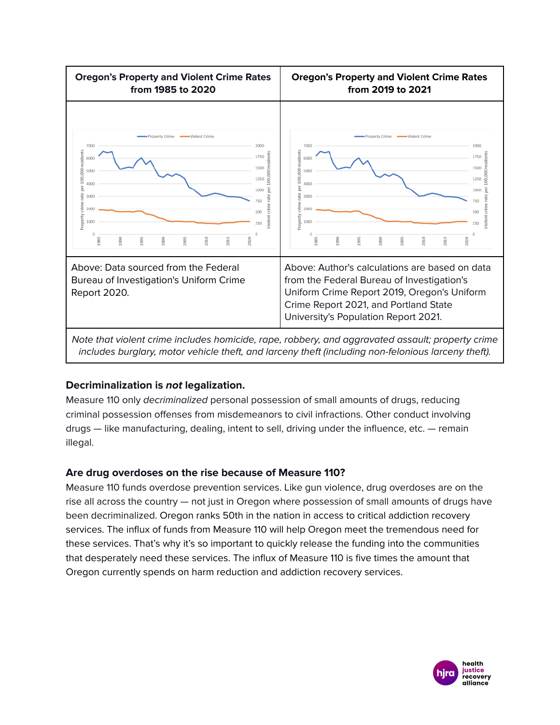

Note that violent crime includes homicide, rape, robbery, and aggravated assault; property crime includes burglary, motor vehicle theft, and larceny theft (including non-felonious larceny theft).

# <span id="page-8-0"></span>**Decriminalization is not legalization.**

Measure 110 only decriminalized personal possession of small amounts of drugs, reducing criminal possession offenses from misdemeanors to civil infractions. Other conduct involving drugs — like manufacturing, dealing, intent to sell, driving under the influence, etc. — remain illegal.

# <span id="page-8-1"></span>**Are drug overdoses on the rise because of Measure 110?**

Measure 110 funds overdose prevention services. Like gun violence, drug overdoses are on the rise all across the country — not just in Oregon where possession of small amounts of drugs have been decriminalized. Oregon ranks 50th in the nation in access to critical addiction recovery services. The influx of funds from Measure 110 will help Oregon meet the tremendous need for these services. That's why it's so important to quickly release the funding into the communities that desperately need these services. The influx of Measure 110 is five times the amount that Oregon currently spends on harm reduction and addiction recovery services.